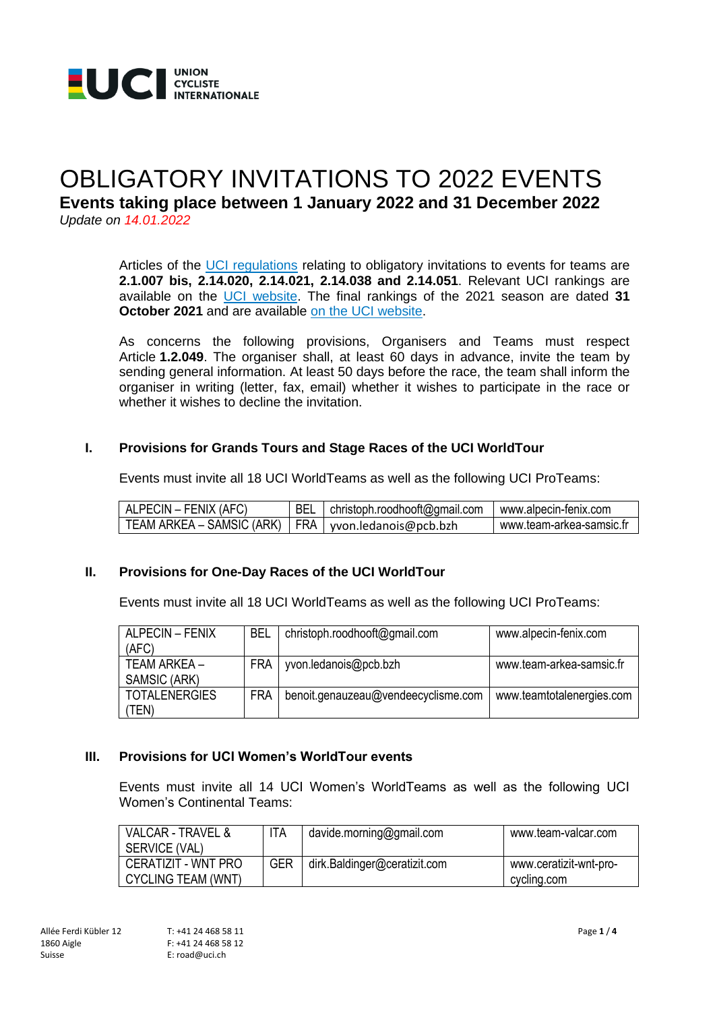

# OBLIGATORY INVITATIONS TO 2022 EVENTS **Events taking place between 1 January 2022 and 31 December 2022** *Update on 14.01.2022*

Articles of the [UCI regulations](https://www.uci.org/inside-uci/constitutions-regulations/regulations) relating to obligatory invitations to events for teams are **2.1.007 bis, 2.14.020, 2.14.021, 2.14.038 and 2.14.051**. Relevant UCI rankings are available on the [UCI website.](https://www.uci.org/discipline/road/6TBjsDD8902tud440iv1Cu?tab=rankings) The final rankings of the 2021 season are dated **31 October 2021** and are available [on the UCI website.](https://www.uci.org/discipline/road/6TBjsDD8902tud440iv1Cu?tab=rankings)

As concerns the following provisions, Organisers and Teams must respect Article **1.2.049**. The organiser shall, at least 60 days in advance, invite the team by sending general information. At least 50 days before the race, the team shall inform the organiser in writing (letter, fax, email) whether it wishes to participate in the race or whether it wishes to decline the invitation.

#### **I. Provisions for Grands Tours and Stage Races of the UCI WorldTour**

Events must invite all 18 UCI WorldTeams as well as the following UCI ProTeams:

| ! ALPECIN – FENIX (AFC)                                 | BEL   christoph.roodhooft@gmail.com | www.alpecin-fenix.com    |
|---------------------------------------------------------|-------------------------------------|--------------------------|
| TEAM ARKEA – SAMSIC (ARK)   FRA   yvon.ledanois@pcb.bzh |                                     | www.team-arkea-samsic.fr |

#### **II. Provisions for One-Day Races of the UCI WorldTour**

Events must invite all 18 UCI WorldTeams as well as the following UCI ProTeams:

| <b>ALPECIN - FENIX</b><br>(AFC) | BEL        | christoph.roodhooft@gmail.com       | www.alpecin-fenix.com     |
|---------------------------------|------------|-------------------------------------|---------------------------|
| TEAM ARKEA –<br>SAMSIC (ARK)    | <b>FRA</b> | yvon.ledanois@pcb.bzh               | www.team-arkea-samsic.fr  |
| <b>TOTALENERGIES</b><br>TEN)    | FRA        | benoit.genauzeau@vendeecyclisme.com | www.teamtotalenergies.com |

#### **III. Provisions for UCI Women's WorldTour events**

Events must invite all 14 UCI Women's WorldTeams as well as the following UCI Women's Continental Teams:

| VALCAR - TRAVEL &<br>SERVICE (VAL)               | ITA        | davide.morning@gmail.com     | www.team-valcar.com                   |
|--------------------------------------------------|------------|------------------------------|---------------------------------------|
| CERATIZIT - WNT PRO<br><b>CYCLING TEAM (WNT)</b> | <b>GER</b> | dirk.Baldinger@ceratizit.com | www.ceratizit-wnt-pro-<br>cycling.com |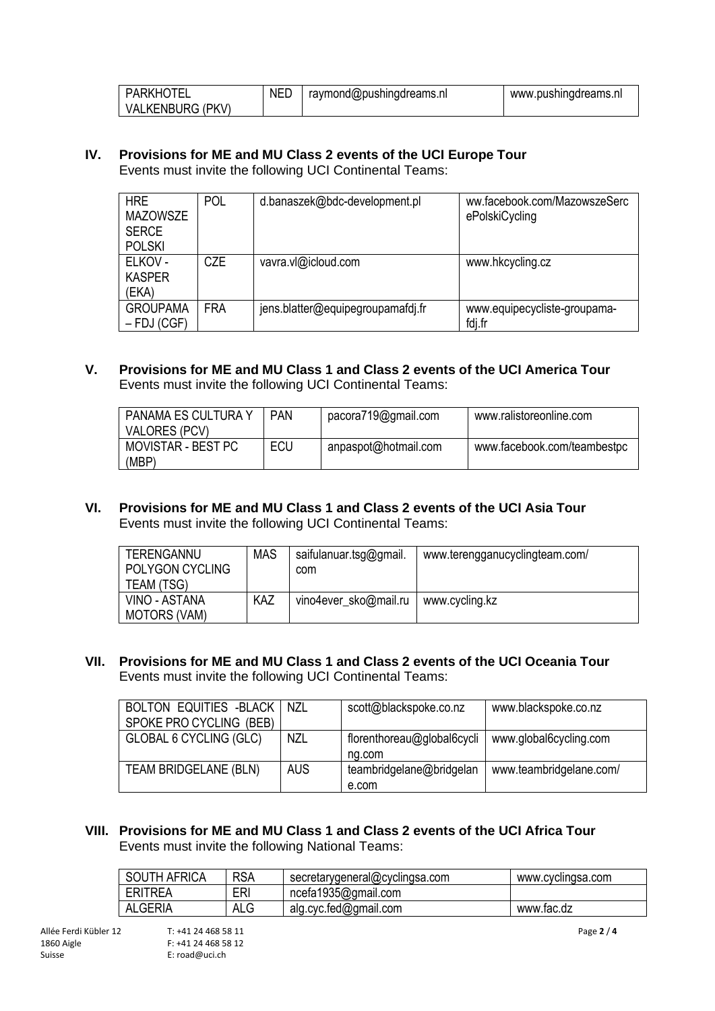| PARKHOTEL               | <b>NED</b> | raymond@pushingdreams.nl | www.pushingdreams.nl |
|-------------------------|------------|--------------------------|----------------------|
| <b>VALKENBURG (PKV)</b> |            |                          |                      |

#### **IV. Provisions for ME and MU Class 2 events of the UCI Europe Tour** Events must invite the following UCI Continental Teams:

| <b>HRE</b><br><b>MAZOWSZE</b><br><b>SERCE</b><br><b>POLSKI</b> | <b>POL</b> | d.banaszek@bdc-development.pl     | ww.facebook.com/MazowszeSerc<br>ePolskiCycling |
|----------------------------------------------------------------|------------|-----------------------------------|------------------------------------------------|
| ELKOV -<br><b>KASPER</b><br>(EKA)                              | CZE        | vavra.vl@icloud.com               | www.hkcycling.cz                               |
| <b>GROUPAMA</b><br>$-$ FDJ (CGF)                               | <b>FRA</b> | jens.blatter@equipegroupamafdj.fr | www.equipecycliste-groupama-<br>fdj.fr         |

## **V. Provisions for ME and MU Class 1 and Class 2 events of the UCI America Tour** Events must invite the following UCI Continental Teams:

| PANAMA ES CULTURA Y<br><b>VALORES (PCV)</b> | <b>PAN</b> | pacora719@gmail.com  | www.ralistoreonline.com     |
|---------------------------------------------|------------|----------------------|-----------------------------|
| MOVISTAR - BEST PC<br>(MBP)                 | ECU        | anpaspot@hotmail.com | www.facebook.com/teambestpc |

## **VI. Provisions for ME and MU Class 1 and Class 2 events of the UCI Asia Tour** Events must invite the following UCI Continental Teams:

| <b>TERENGANNU</b><br>POLYGON CYCLING<br>TEAM (TSG) | <b>MAS</b> | saifulanuar.tsg@gmail.<br>com | www.terengganucyclingteam.com/ |
|----------------------------------------------------|------------|-------------------------------|--------------------------------|
| VINO - ASTANA<br><b>MOTORS (VAM)</b>               | KAZ        | vino4ever_sko@mail.ru         | www.cycling.kz                 |

#### **VII. Provisions for ME and MU Class 1 and Class 2 events of the UCI Oceania Tour** Events must invite the following UCI Continental Teams:

| <b>BOLTON EQUITIES -BLACK</b><br>SPOKE PRO CYCLING (BEB) | NZL | scott@blackspoke.co.nz               | www.blackspoke.co.nz    |
|----------------------------------------------------------|-----|--------------------------------------|-------------------------|
| <b>GLOBAL 6 CYCLING (GLC)</b>                            | NZL | florenthoreau@global6cycli<br>ng.com | www.global6cycling.com  |
| TEAM BRIDGELANE (BLN)                                    | AUS | teambridgelane@bridgelan<br>e.com    | www.teambridgelane.com/ |

#### **VIII. Provisions for ME and MU Class 1 and Class 2 events of the UCI Africa Tour** Events must invite the following National Teams:

| <b>SOUTH AFRICA</b> | <b>RSA</b> | secretarygeneral@cyclingsa.com | www.cyclingsa.com |
|---------------------|------------|--------------------------------|-------------------|
| <b>ERITREA</b>      | ERI        | ncefa1935@gmail.com            |                   |
| ALGERIA             | ALG        | alg.cyc.fed@gmail.com          | www.tac.dz        |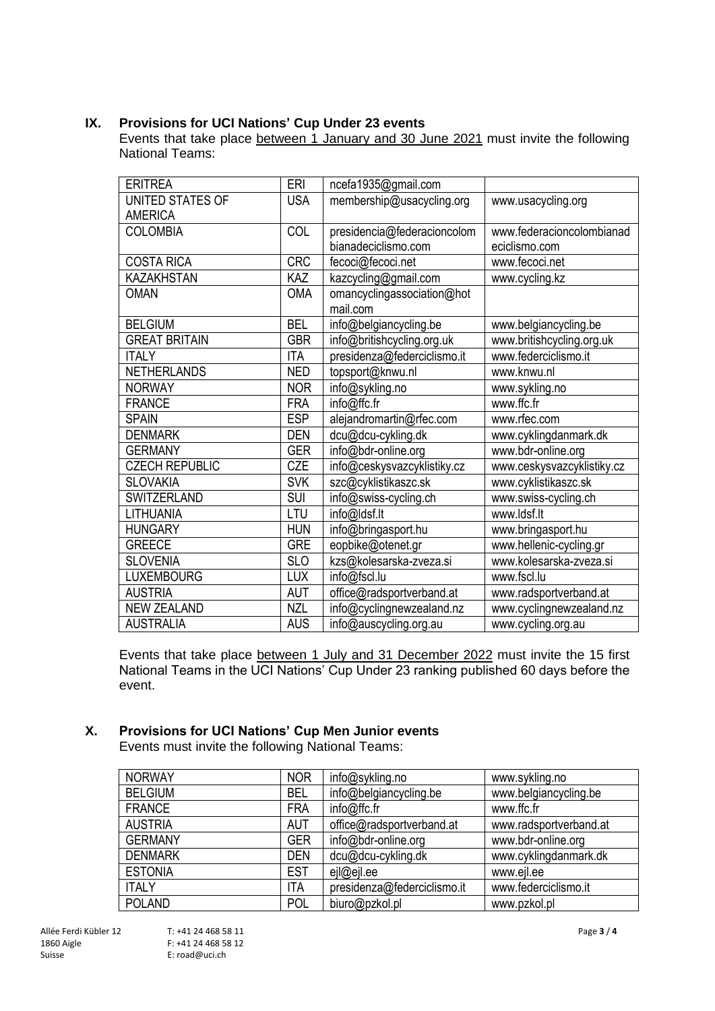## **IX. Provisions for UCI Nations' Cup Under 23 events**

Events that take place between 1 January and 30 June 2021 must invite the following National Teams:

| <b>ERITREA</b>        | ERI        | ncefa1935@gmail.com         |                            |
|-----------------------|------------|-----------------------------|----------------------------|
| UNITED STATES OF      | <b>USA</b> | membership@usacycling.org   | www.usacycling.org         |
| <b>AMERICA</b>        |            |                             |                            |
| <b>COLOMBIA</b>       | COL        | presidencia@federacioncolom | www.federacioncolombianad  |
|                       |            | bianadeciclismo.com         | eciclismo.com              |
| <b>COSTA RICA</b>     | <b>CRC</b> | fecoci@fecoci.net           | www.fecoci.net             |
| <b>KAZAKHSTAN</b>     | KAZ        | kazcycling@gmail.com        | www.cycling.kz             |
| <b>OMAN</b>           | <b>OMA</b> | omancyclingassociation@hot  |                            |
|                       |            | mail.com                    |                            |
| <b>BELGIUM</b>        | <b>BEL</b> | info@belgiancycling.be      | www.belgiancycling.be      |
| <b>GREAT BRITAIN</b>  | <b>GBR</b> | info@britishcycling.org.uk  | www.britishcycling.org.uk  |
| <b>ITALY</b>          | <b>ITA</b> | presidenza@federciclismo.it | www.federciclismo.it       |
| <b>NETHERLANDS</b>    | <b>NED</b> | topsport@knwu.nl            | www.knwu.nl                |
| <b>NORWAY</b>         | <b>NOR</b> | info@sykling.no             | www.sykling.no             |
| <b>FRANCE</b>         | <b>FRA</b> | info@ffc.fr                 | www.ffc.fr                 |
| <b>SPAIN</b>          | <b>ESP</b> | alejandromartin@rfec.com    | www.rfec.com               |
| <b>DENMARK</b>        | <b>DEN</b> | dcu@dcu-cykling.dk          | www.cyklingdanmark.dk      |
| <b>GERMANY</b>        | <b>GER</b> | info@bdr-online.org         | www.bdr-online.org         |
| <b>CZECH REPUBLIC</b> | CZE        | info@ceskysvazcyklistiky.cz | www.ceskysvazcyklistiky.cz |
| <b>SLOVAKIA</b>       | <b>SVK</b> | szc@cyklistikaszc.sk        | www.cyklistikaszc.sk       |
| <b>SWITZERLAND</b>    | <b>SUI</b> | info@swiss-cycling.ch       | www.swiss-cycling.ch       |
| LITHUANIA             | LTU        | info@ldsf.lt                | www.ldsf.lt                |
| <b>HUNGARY</b>        | <b>HUN</b> | info@bringasport.hu         | www.bringasport.hu         |
| <b>GREECE</b>         | <b>GRE</b> | eopbike@otenet.gr           | www.hellenic-cycling.gr    |
| <b>SLOVENIA</b>       | <b>SLO</b> | kzs@kolesarska-zveza.si     | www.kolesarska-zveza.si    |
| <b>LUXEMBOURG</b>     | <b>LUX</b> | info@fscl.lu                | www.fscl.lu                |
| <b>AUSTRIA</b>        | AUT        | office@radsportverband.at   | www.radsportverband.at     |
| <b>NEW ZEALAND</b>    | <b>NZL</b> | info@cyclingnewzealand.nz   | www.cyclingnewzealand.nz   |
| <b>AUSTRALIA</b>      | <b>AUS</b> | info@auscycling.org.au      | www.cycling.org.au         |

Events that take place between 1 July and 31 December 2022 must invite the 15 first National Teams in the UCI Nations' Cup Under 23 ranking published 60 days before the event.

# **X. Provisions for UCI Nations' Cup Men Junior events**

Events must invite the following National Teams:

| <b>NORWAY</b>  | <b>NOR</b> | info@sykling.no             | www.sykling.no         |
|----------------|------------|-----------------------------|------------------------|
| <b>BELGIUM</b> | <b>BEL</b> | info@belgiancycling.be      | www.belgiancycling.be  |
| <b>FRANCE</b>  | <b>FRA</b> | info@ffc.fr                 | www.ffc.fr             |
| <b>AUSTRIA</b> | <b>AUT</b> | office@radsportverband.at   | www.radsportverband.at |
| <b>GERMANY</b> | <b>GER</b> | info@bdr-online.org         | www.bdr-online.org     |
| <b>DENMARK</b> | <b>DEN</b> | dcu@dcu-cykling.dk          | www.cyklingdanmark.dk  |
| <b>ESTONIA</b> | <b>EST</b> | ejl@ejl.ee                  | www.ejl.ee             |
| <b>ITALY</b>   | <b>ITA</b> | presidenza@federciclismo.it | www.federciclismo.it   |
| <b>POLAND</b>  | <b>POL</b> | biuro@pzkol.pl              | www.pzkol.pl           |